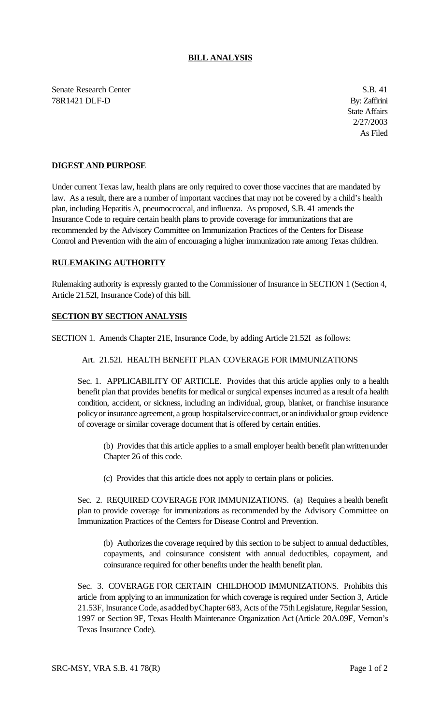## **BILL ANALYSIS**

Senate Research Center S.B. 41 78R1421 DLF-D By: Zaffirini

State Affairs 2/27/2003 As Filed

# **DIGEST AND PURPOSE**

Under current Texas law, health plans are only required to cover those vaccines that are mandated by law. As a result, there are a number of important vaccines that may not be covered by a child's health plan, including Hepatitis A, pneumoccoccal, and influenza. As proposed, S.B. 41 amends the Insurance Code to require certain health plans to provide coverage for immunizations that are recommended by the Advisory Committee on Immunization Practices of the Centers for Disease Control and Prevention with the aim of encouraging a higher immunization rate among Texas children.

#### **RULEMAKING AUTHORITY**

Rulemaking authority is expressly granted to the Commissioner of Insurance in SECTION 1 (Section 4, Article 21.52I, Insurance Code) of this bill.

### **SECTION BY SECTION ANALYSIS**

SECTION 1. Amends Chapter 21E, Insurance Code, by adding Article 21.52I as follows:

#### Art. 21.52I. HEALTH BENEFIT PLAN COVERAGE FOR IMMUNIZATIONS

Sec. 1. APPLICABILITY OF ARTICLE. Provides that this article applies only to a health benefit plan that provides benefits for medical or surgical expenses incurred as a result of a health condition, accident, or sickness, including an individual, group, blanket, or franchise insurance policy or insurance agreement, a group hospital service contract, or an individual or group evidence of coverage or similar coverage document that is offered by certain entities.

(b) Provides that this article applies to a small employer health benefit planwrittenunder Chapter 26 of this code.

(c) Provides that this article does not apply to certain plans or policies.

Sec. 2. REQUIRED COVERAGE FOR IMMUNIZATIONS. (a) Requires a health benefit plan to provide coverage for immunizations as recommended by the Advisory Committee on Immunization Practices of the Centers for Disease Control and Prevention.

(b) Authorizes the coverage required by this section to be subject to annual deductibles, copayments, and coinsurance consistent with annual deductibles, copayment, and coinsurance required for other benefits under the health benefit plan.

Sec. 3. COVERAGE FOR CERTAIN CHILDHOOD IMMUNIZATIONS. Prohibits this article from applying to an immunization for which coverage is required under Section 3, Article 21.53F, Insurance Code, as added by Chapter 683, Acts of the 75th Legislature, Regular Session, 1997 or Section 9F, Texas Health Maintenance Organization Act (Article 20A.09F, Vernon's Texas Insurance Code).